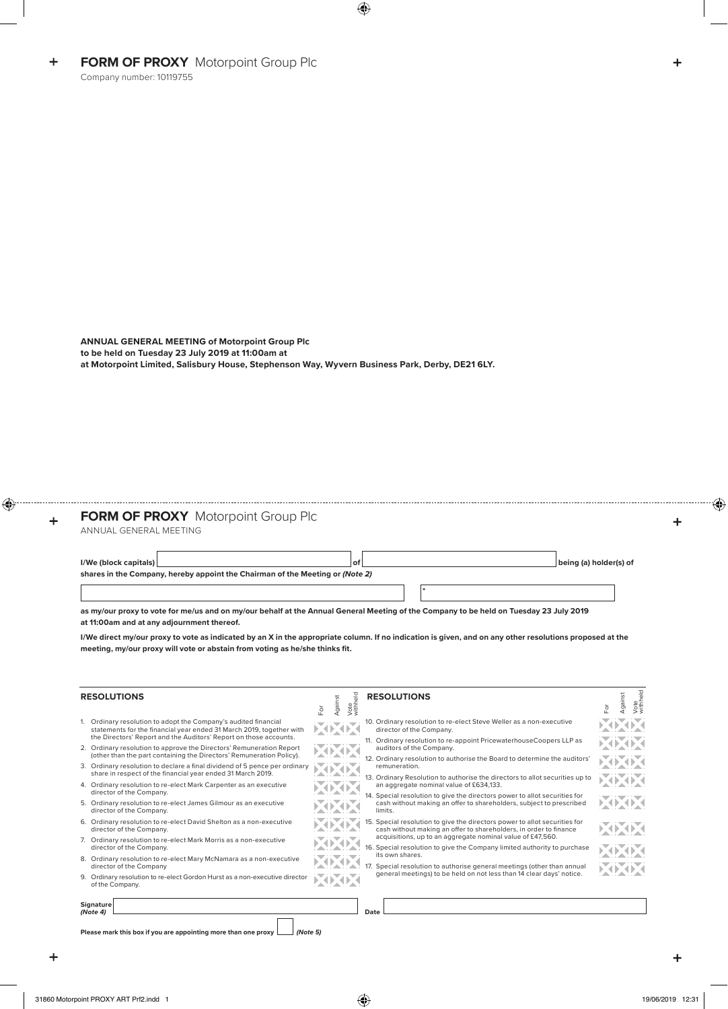**ANNUAL GENERAL MEETING of Motorpoint Group Plc to be held on Tuesday 23 July 2019 at 11:00am at at Motorpoint Limited, Salisbury House, Stephenson Way, Wyvern Business Park, Derby, DE21 6LY.**

## **FORM OF PROXY** Motorpoint Group Plc

ANNUAL GENERAL MEETING

| $I/W$ e (block capitals)                                                      | O1 |  | being (a) holder(s) of |  |  |  |  |  |  |
|-------------------------------------------------------------------------------|----|--|------------------------|--|--|--|--|--|--|
| shares in the Company, hereby appoint the Chairman of the Meeting or (Note 2) |    |  |                        |  |  |  |  |  |  |

**\***

**as my/our proxy to vote for me/us and on my/our behalf at the Annual General Meeting of the Company to be held on Tuesday 23 July 2019 at 11:00am and at any adjournment thereof.**

**I/We direct my/our proxy to vote as indicated by an X in the appropriate column. If no indication is given, and on any other resolutions proposed at the meeting, my/our proxy will vote or abstain from voting as he/she thinks fit.**

| <b>RESOLUTIONS</b>                                                                                                                                                                                                                                                                                                                                                                                                                                                                                                                                                          | For | Against | Vote<br>withheld | <b>RESOLUTIONS</b>                                                                                                                                                                                                                                                                                                                                                                                                          | ă | Vote<br>withheld<br>Against |  |  |  |  |
|-----------------------------------------------------------------------------------------------------------------------------------------------------------------------------------------------------------------------------------------------------------------------------------------------------------------------------------------------------------------------------------------------------------------------------------------------------------------------------------------------------------------------------------------------------------------------------|-----|---------|------------------|-----------------------------------------------------------------------------------------------------------------------------------------------------------------------------------------------------------------------------------------------------------------------------------------------------------------------------------------------------------------------------------------------------------------------------|---|-----------------------------|--|--|--|--|
| Ordinary resolution to adopt the Company's audited financial<br>statements for the financial year ended 31 March 2019, together with<br>the Directors' Report and the Auditors' Report on those accounts.<br>2. Ordinary resolution to approve the Directors' Remuneration Report<br>(other than the part containing the Directors' Remuneration Policy).<br>3. Ordinary resolution to declare a final dividend of 5 pence per ordinary<br>share in respect of the financial year ended 31 March 2019.<br>4. Ordinary resolution to re-elect Mark Carpenter as an executive |     |         |                  | 10. Ordinary resolution to re-elect Steve Weller as a non-executive<br>director of the Company.<br>11. Ordinary resolution to re-appoint PricewaterhouseCoopers LLP as<br>auditors of the Company.<br>12. Ordinary resolution to authorise the Board to determine the auditors'<br>remuneration.<br>13. Ordinary Resolution to authorise the directors to allot securities up to<br>an aggregate nominal value of £634,133. |   |                             |  |  |  |  |
| director of the Company.<br>5. Ordinary resolution to re-elect James Gilmour as an executive<br>director of the Company.                                                                                                                                                                                                                                                                                                                                                                                                                                                    |     |         |                  | 14. Special resolution to give the directors power to allot securities for<br>cash without making an offer to shareholders, subject to prescribed<br>limits.                                                                                                                                                                                                                                                                |   |                             |  |  |  |  |
| 6. Ordinary resolution to re-elect David Shelton as a non-executive<br>director of the Company.<br>7. Ordinary resolution to re-elect Mark Morris as a non-executive                                                                                                                                                                                                                                                                                                                                                                                                        |     |         |                  | 15. Special resolution to give the directors power to allot securities for<br>cash without making an offer to shareholders, in order to finance<br>acquisitions, up to an aggregate nominal value of £47,560.                                                                                                                                                                                                               |   |                             |  |  |  |  |
| director of the Company.<br>8. Ordinary resolution to re-elect Mary McNamara as a non-executive<br>director of the Company<br>9. Ordinary resolution to re-elect Gordon Hurst as a non-executive director                                                                                                                                                                                                                                                                                                                                                                   |     |         |                  | 16. Special resolution to give the Company limited authority to purchase<br>its own shares.<br>17. Special resolution to authorise general meetings (other than annual<br>general meetings) to be held on not less than 14 clear days' notice.                                                                                                                                                                              |   |                             |  |  |  |  |
| of the Company.<br>Signature<br>(Note4)                                                                                                                                                                                                                                                                                                                                                                                                                                                                                                                                     |     |         |                  | Date                                                                                                                                                                                                                                                                                                                                                                                                                        |   |                             |  |  |  |  |
| Please mark this box if you are appointing more than one proxy<br>(Note 5)                                                                                                                                                                                                                                                                                                                                                                                                                                                                                                  |     |         |                  |                                                                                                                                                                                                                                                                                                                                                                                                                             |   |                             |  |  |  |  |

 $\ddot{}$ 

÷